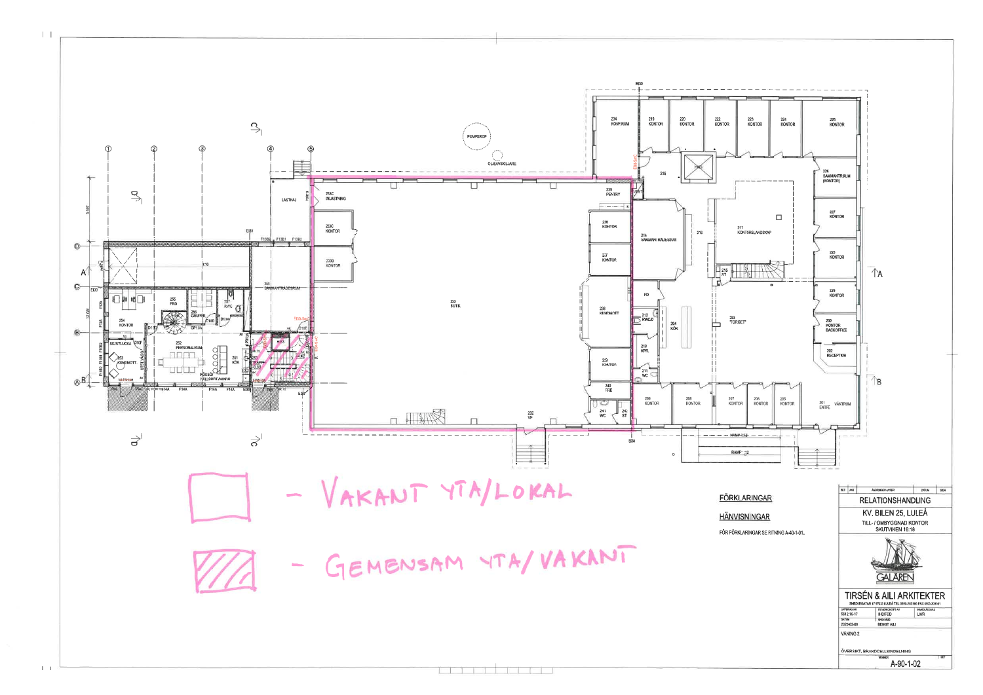$E130$ 234<br>KONF.RUM 219<br>KONTOR 220<br>KONTOR 222<br>Kontor  $\overrightarrow{S}$ PUMPGROP Œ  $\circledA$ OLJEAVSKILJARE Ū 235<br>PENTRY  $\overline{\mathcal{C}}_1$ 233C<br>INLASTNING LASTKAJ  $\overline{$ 236<br>KONTOR 233C<br>KONTOR 217  $216$ 214<br>SAMMANTRÄDESRUM **14 F13B1** F13B F13B  $\circledcirc$  $13000 -$ 237<br>KONTOR 233B<br>KONTOR  $\Box$ 215  $\mathsf{A}$  $\circ$  $\Box$   $\blacksquare$ 255<br>FRD 233<br>Butik ছ 238<br>KUNDMOTT  $\frac{212}{2}$  RWC/D 203 **TORGET** ⊭ 204<br>KÕK комта  $^{\circ}$  $\sqrt{1}$ SKJUTLUCKA 210<br>KPR. 239<br>K**ONTO**R  $211$ <br>WC  $\circledR$ 240<br>FRD 209<br>KONTOR 208<br>KONTOR 207<br>KONTOF Ġ  $\frac{241}{WC}$ **DOWNER**  $\frac{1}{\sqrt{242}}$  $\frac{232}{VF}$  $\Box$  $\overrightarrow{\sigma}$  $--$  RAMP-1:12  $\overrightarrow{\mathsf{d}}$ EE30 **RAMP 1:12** - VAKANT YTA/LOKAL - GEMENSAM YTA/VAKANT

 $\perp$